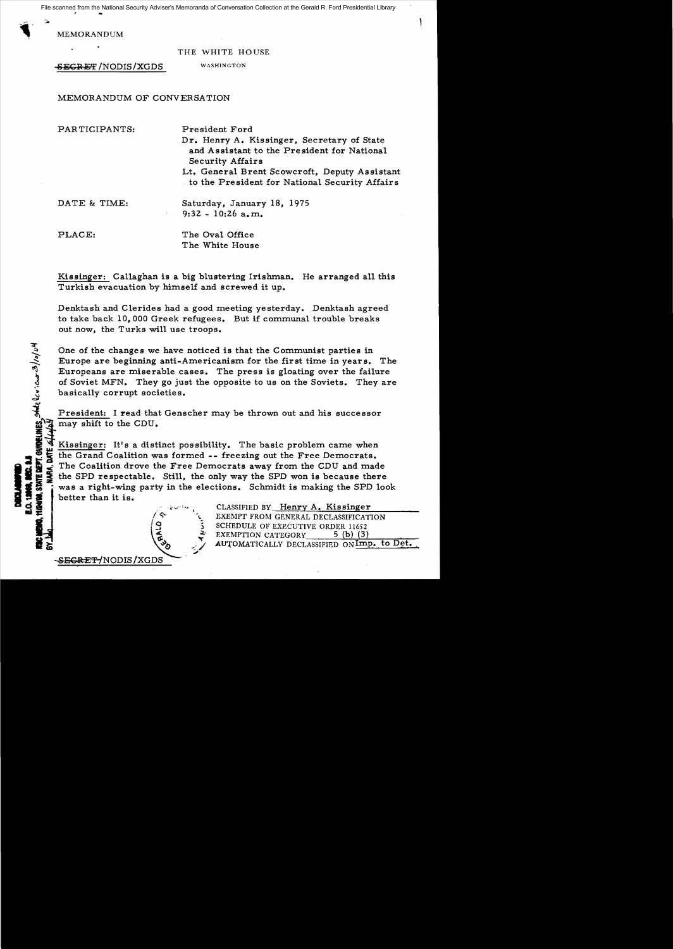File scanned from the National Security Adviser's Memoranda of Conversation Collection at the Gerald R. Ford Presidential Library

MEMORANDUM

.

 $\mathbf{r}$ 

.

**CONTRACTOR** 

THE WHITE HO USE

١

SECRET / NODIS / XGDS WASHINGTON

SEGRET/NODIS/XGDS

MEMORANDUM OF CONVERSATION

| PARTICIPANTS:              | President Ford<br>Dr. Henry A. Kissinger, Secretary of State<br>and Assistant to the President for National<br><b>Security Affairs</b><br>Lt. General Brent Scowcroft, Deputy Assistant<br>to the President for National Security Affairs |
|----------------------------|-------------------------------------------------------------------------------------------------------------------------------------------------------------------------------------------------------------------------------------------|
| DATE & TIME:<br>$\sigma$ . | Saturday, January 18, 1975<br>$9:32 - 10:26$ a, m.                                                                                                                                                                                        |
| PLACE:                     | The Oval Office<br>The White House                                                                                                                                                                                                        |

Kissinger: Callaghan is a big blustering Irishman. He arranged all this Turkish evacuation by himself and screwed it up.

Denktash and Clerides had a good meeting yesterday. Denktash agreed to take back 10,000 Greek refugees. But if communal trouble breaks out now, the Turks wil1 use troops.

One of the changes we have noticed is that the Communist parties in Europe are beginning anti-Americanism for the first time in years. The Europeans are miserable cases. The press is gloating over the failure of Soviet MFN. They go just the opposite to us on the Soviets. They are basically corrupt societies.

President: I read that Genscher may be thrown out and his successor may shift to the CDU.

**MBC. 8.5**<br>TE DEFT. GUIDELINE<br>ARA, DATE <del>4/1/4</del>6<br>E: H E F. EX Kissinger: It's a distinct possibility. The basic problem came when the Grand Coalition was formed -- freezing out the Free Democrats. The Coalition drove the Free Democrats away from the CDU and made the SPD respectable. Still, the only way the SPD won is because there was a right-wing party in the elections. Schmidt is making the SPD look ! • better than it is. SI .' i"'-'''-- ( CLASSIFIED BY Henry A. Kissinger

EXEMPT FROM GENERAL DECLASSIFICATION SCHEDULE OF EXECUTIVE ORDER 11652 EXEMPTION CATEGORY 5 (b) (3) AUTOMATICALLY DECLASSIFIED ON $\text{Imp. to Det.}$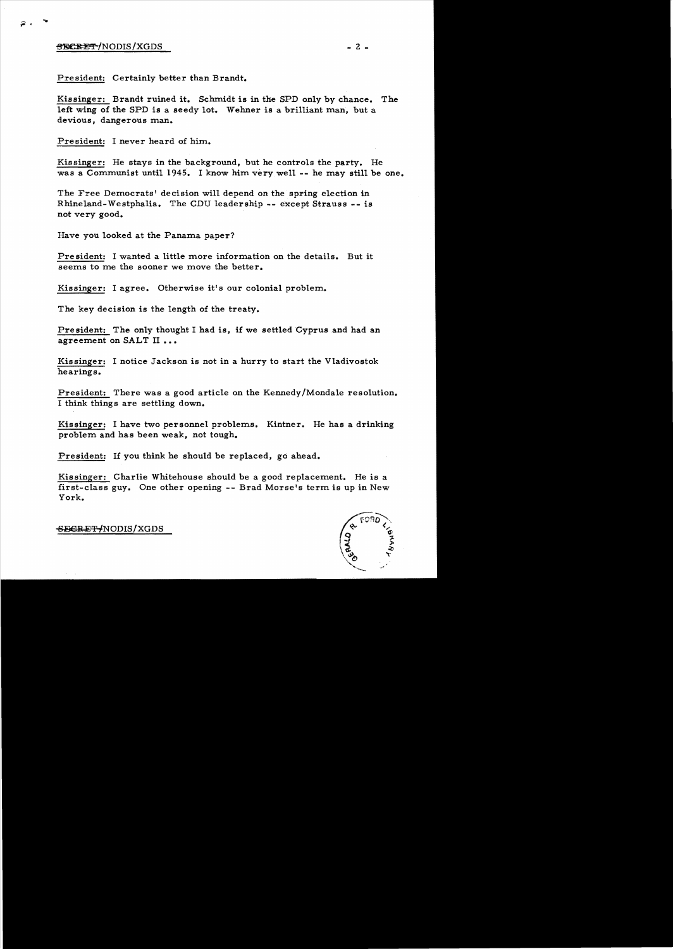## <del>SECRET</del>/NODIS/XGDS

 $\widehat{\bullet}$  .

President: Certainly better than Brandt.

Kissinger: Brandt ruined it. Schmidt is in the SPD only by chance. The left wing of the SPD is a seedy lot. Wehner is a brilliant man, but a devious, dangerous man.

President: I never heard of him.

Kissinger: He stays in the background, but he controls the party. He was a Communist until 1945. I know him very well -- he may still be one.

The Free Democrats' decision will depend on the spring election in Rhineland-Westphalia. The CDU leadership -- except Strauss - - is not very good.

Have you looked at the Panama paper?

President: I wanted a little more information on the details. But it seems to me the sooner we move the better.

Kissinger: I agree. Otherwise it's our colonial problem.

The key decision is the length of the treaty.

Pre sident: The only thought I had is, if we settled Cyprus and had an agreement on SALT II...

Kissinger: I notice Jackson is not in a hurry to start the Vladivostok hearings.

President: There was a good article on the Kennedy/Mondale resolution. I think things are settling down.

Kissinger: I have two personnel problems. Kintner. He has a drinking problem and has been weak, not tough.

President: If you think he should be replaced, go ahead.

Kissinger: Charlie Whitehouse should be a good replacement. He is a first-class guy. One other opening -- Brad Morse's term is up in New York.



 $-2 -$ 

-S<del>ECRET/</del>NODIS/XGDS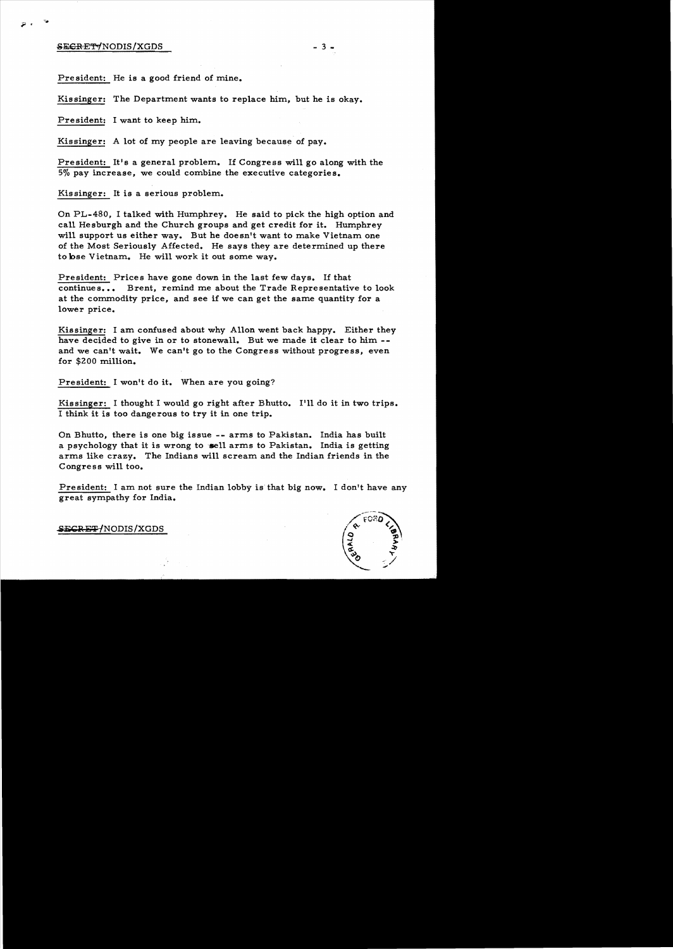## exeret the second second second second second second second second second second second second second second s

,.

President: He is a good friend of mine.

Kissinger: The Department wants to replace him, but he is okay.

President: I want to keep him.

Kissinger: A lot of my people are leaving because of pay\_

President: It's a general problem. If Congress will go along with the 5% pay increase, we could combine the executive categories.

Kissinger: It is a serious problem.

On PL-480. I talked with Humphrey. He said to pick the high option and call He sburgh and the Church groups and get credit for it. Humphrey will support us either way. But he doesn't want to make Vietnam one of the Most Seriously Affected. He says they are determined up there to bse Vietnam. He will work it out some way.

President: Prices have gone down in the last few days. If that continues... Brent, remind me about the Trade Representative to look at the commodity price, and see if we can get the same quantity for a lower price.

Kissinger: I am confused about why Allon went back happy. Either they have decided to give in or to stonewall. But we made it clear to him -and we can't wait. We can't go to the Congress without progress, even for \$200 million.

President: I won't do it. When are you going?

Kissinger: I thought I would go right after Bhutto. I'll do it in two trips. I think it is too dangerous to try it in one trip.

On Bhutto, there is one big issue -- arms to Pakistan. India has built a psychology that it is wrong to sell arms to Pakistan. India is getting arms like crazy. The Indians will scream and the Indian friends in the Congress will too.

President: I am not sure the Indian lobby is' that big now. I don't have any great sympathy for India.



**SECRET/NODIS/XGDS**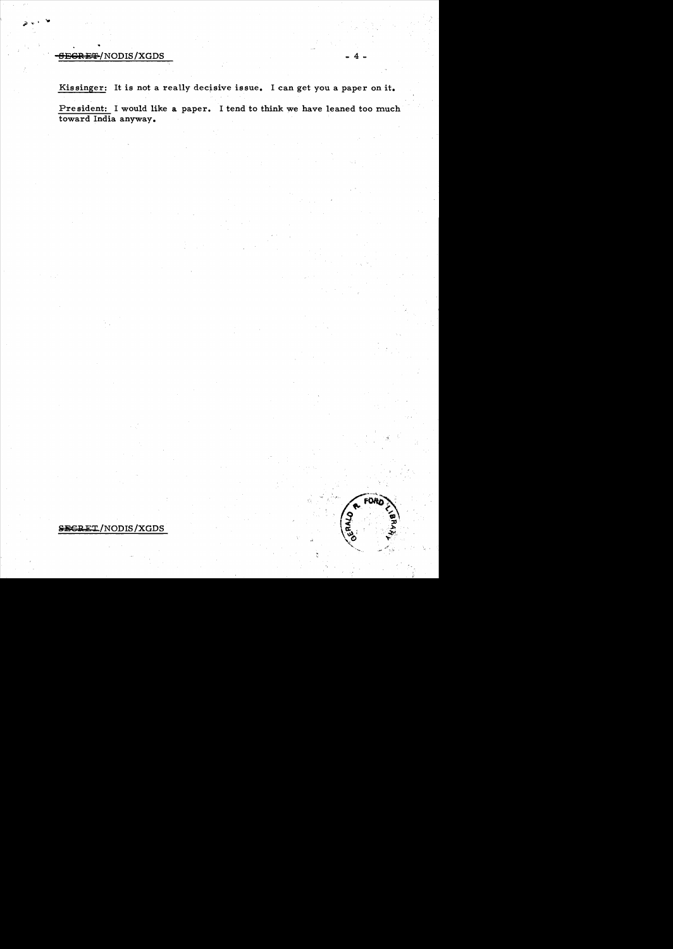## **SEGRET/NODIS/XGDS**

Kissinger: It is not a really decisive issue. I can get you a paper on it.

President: I would like a paper. I tend to think we have leaned too much toward India anyway.

FOR

SECRET/NODIS/XGDS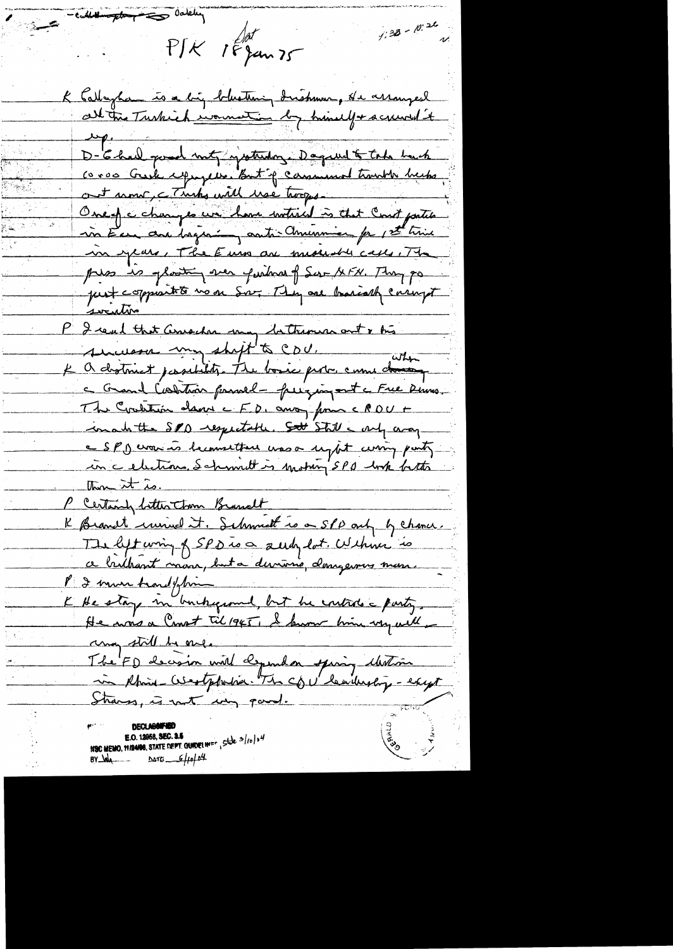$\frac{1}{\sqrt{1-\frac{1}{2}+\frac{1}{2}+\frac{1}{2}+\frac{1}{2}+\frac{1}{2}+\frac{1}{2}+\frac{1}{2}+\frac{1}{2}+\frac{1}{2}+\frac{1}{2}+\frac{1}{2}+\frac{1}{2}+\frac{1}{2}+\frac{1}{2}+\frac{1}{2}+\frac{1}{2}+\frac{1}{2}+\frac{1}{2}+\frac{1}{2}+\frac{1}{2}+\frac{1}{2}+\frac{1}{2}+\frac{1}{2}+\frac{1}{2}+\frac{1}{2}+\frac{1}{2}+\frac{1}{2}+\frac{1}{2}+\frac{1}{2}+\frac{1}{2}+\$  $4:38 - 10:26$ PIK 18 jan 75 K Cathaghan is a big blustening drishman, de assauged  $\mu$ D- E-had good met grotendoze Daqueel & take back coros Guile expansive. But if camminal transit hecks, ont nous, comme will use torque One of a changes we have institued is that Court partie in Eur are beganing auto-amention for 1st time in years, The Euro are medistrically. The pres es plantin ver puisse f Sur AFN. They po just coppeart to voor Sov. They are brainably corrupt <u>socution</u> P I real that Conseder may bettermen out & trè successo my shift to CDU. K a district passibility. The bosic probe came do a Grand Contrain princel - fuiging out a Free Dums. The Credition dans c FD, anoy from c PDU + inabitte SPD respectable. Sott Still a very e SPJ work is becometter was a upot curing party in celections Schmitt is mother SPA with bitter  $\lim_{x\to\infty} x f(x)$ P Certainly litter town Branch K Branct univel it. Schmidt is a SPD only by chance. a brithant mon, buta dernière, donne mon. K He stay in buckefound, but he controls a party. He was a Comot Til 1945, I know him very will any still be one. The FD decision with dependent spirit Motion Strange, is not un paroli **E.O. 12958, SEC. 3.5**<br>NSC MEMO, 11/24/08, STATE DEPT. GUADELINE CHARGE 1997 **Cash 12000**  $BY$   $\frac{1}{4}$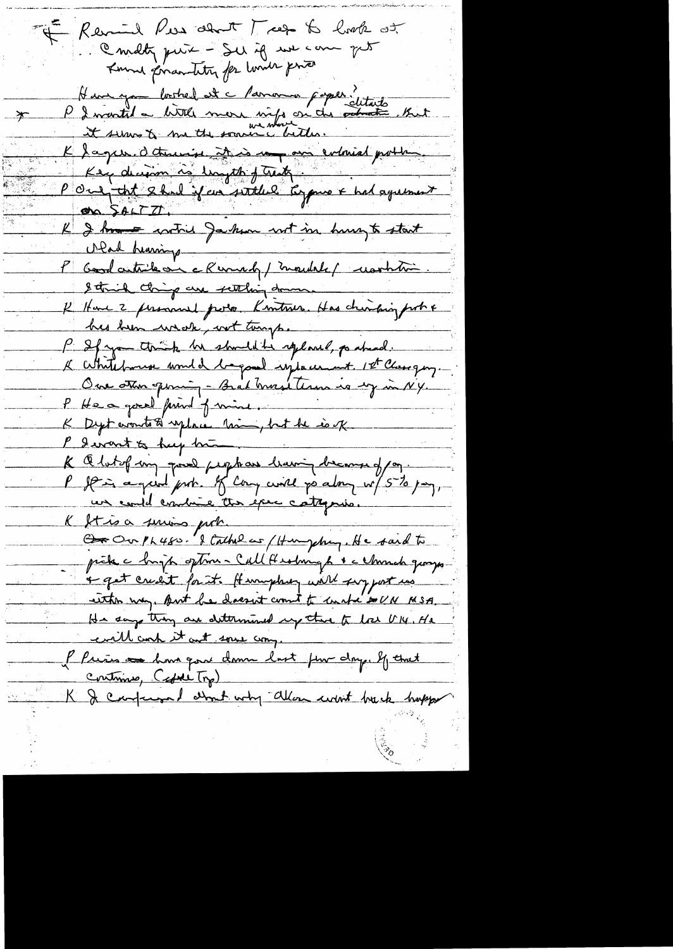of Revial New about Trees to look at Connecty pure - Sur if we can get Kund privartity for land price Have you booked at a favor poper."<br>P I wanted a bittle more vieje on the probabile . But K laque d'America de la monde entiere porter. Key decision is lungth of treats. POur tit 2 had if an wither typus & had agreement en SALTIT K I have cartier Jackson wit in hungt start P Goodcutriles - a Revendy / moulde / worktime Strick things are settling do K Have 2 personnel porto. Knotano. Has chinain port & his been weak, wit tomps. P If you think he should be replaced, po ahead.<br>I White forms would be good system in 1st Chergey. P He a good print of mine. K Q lutof ing good peophase leaving become of ag.<br>P If is a great prob. If Cong will go along w/5% pag, un could contrie the exec catagorie. K Stroa suring prob. Cor Our Physic & Cathelas (Hungchuy. He said to pick a bright option - Call Headmaph & a church groups + get credit for it. Humphy will say just us either way. But he doesn't count to unta so UN MSA. He says they are determined up the to los UN. He evell conf it ant some comp. l'Pries au hour qui donne lust prin doy. If that Continue, Capite Trp) K & Confermed about why allow won't be che hopper